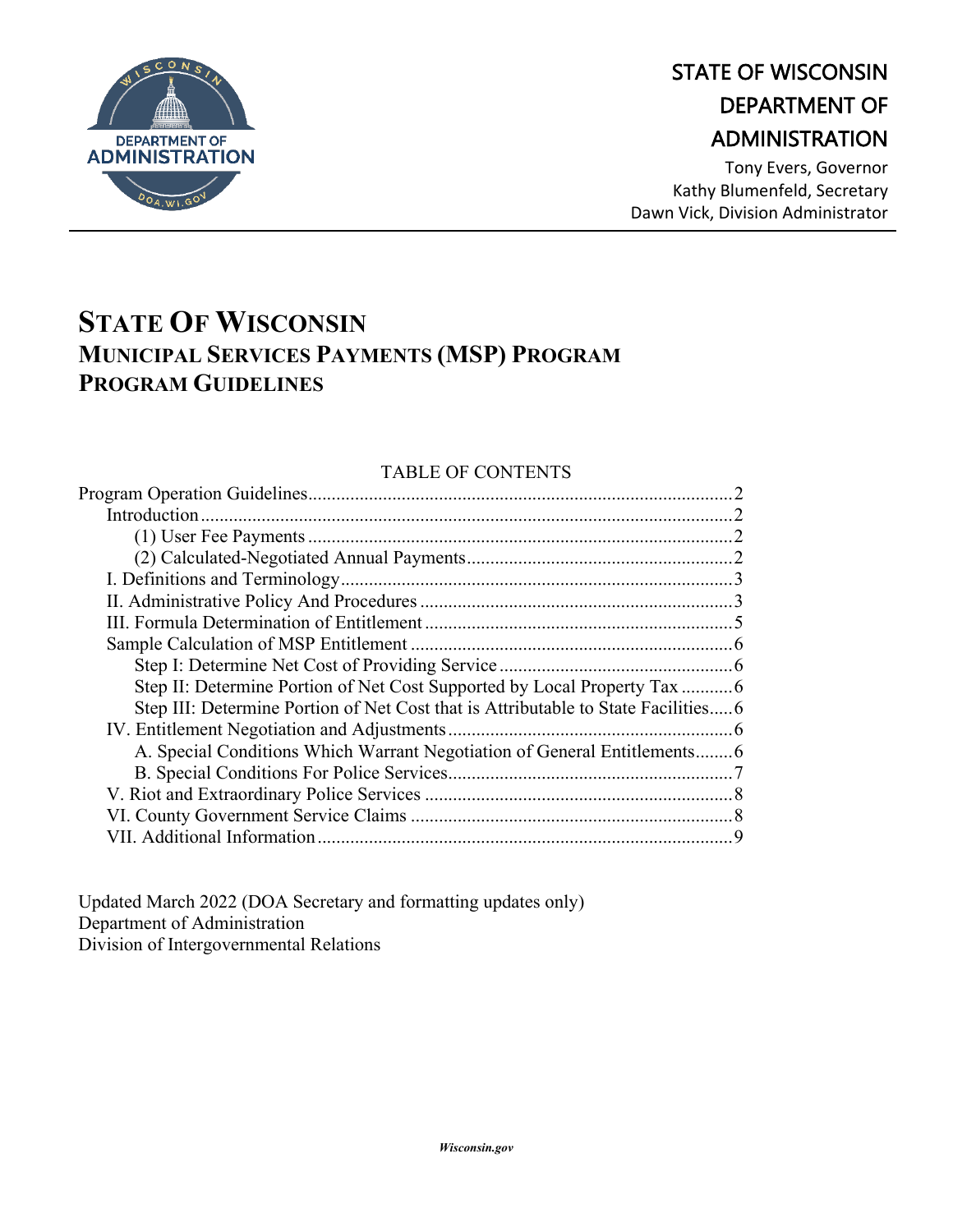

# STATE OF WISCONSIN DEPARTMENT OF ADMINISTRATION

Tony Evers, Governor Kathy Blumenfeld, Secretary Dawn Vick, Division Administrator

# **STATE OF WISCONSIN MUNICIPAL SERVICES PAYMENTS (MSP) PROGRAM PROGRAM GUIDELINES**

#### TABLE OF CONTENTS

| Step III: Determine Portion of Net Cost that is Attributable to State Facilities6 |  |
|-----------------------------------------------------------------------------------|--|
|                                                                                   |  |
| A. Special Conditions Which Warrant Negotiation of General Entitlements6          |  |
|                                                                                   |  |
|                                                                                   |  |
|                                                                                   |  |
|                                                                                   |  |
|                                                                                   |  |

Updated March 2022 (DOA Secretary and formatting updates only) Department of Administration Division of Intergovernmental Relations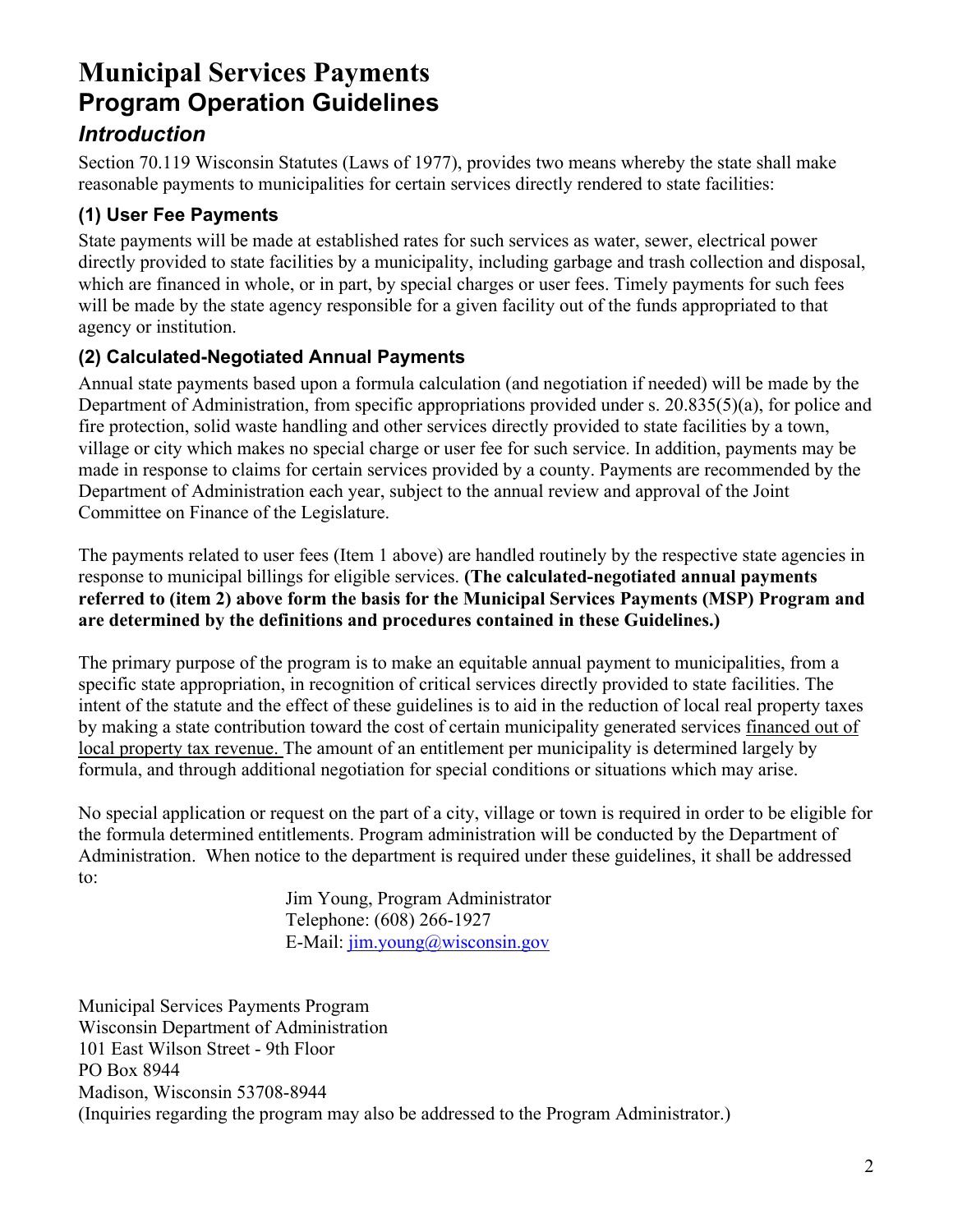# **Municipal Services Payments Program Operation Guidelines** *Introduction*

Section 70.119 Wisconsin Statutes (Laws of 1977), provides two means whereby the state shall make reasonable payments to municipalities for certain services directly rendered to state facilities:

### **(1) User Fee Payments**

State payments will be made at established rates for such services as water, sewer, electrical power directly provided to state facilities by a municipality, including garbage and trash collection and disposal, which are financed in whole, or in part, by special charges or user fees. Timely payments for such fees will be made by the state agency responsible for a given facility out of the funds appropriated to that agency or institution.

#### **(2) Calculated-Negotiated Annual Payments**

Annual state payments based upon a formula calculation (and negotiation if needed) will be made by the Department of Administration, from specific appropriations provided under s. 20.835(5)(a), for police and fire protection, solid waste handling and other services directly provided to state facilities by a town, village or city which makes no special charge or user fee for such service. In addition, payments may be made in response to claims for certain services provided by a county. Payments are recommended by the Department of Administration each year, subject to the annual review and approval of the Joint Committee on Finance of the Legislature.

The payments related to user fees (Item 1 above) are handled routinely by the respective state agencies in response to municipal billings for eligible services. **(The calculated-negotiated annual payments referred to (item 2) above form the basis for the Municipal Services Payments (MSP) Program and are determined by the definitions and procedures contained in these Guidelines.)**

The primary purpose of the program is to make an equitable annual payment to municipalities, from a specific state appropriation, in recognition of critical services directly provided to state facilities. The intent of the statute and the effect of these guidelines is to aid in the reduction of local real property taxes by making a state contribution toward the cost of certain municipality generated services financed out of local property tax revenue. The amount of an entitlement per municipality is determined largely by formula, and through additional negotiation for special conditions or situations which may arise.

No special application or request on the part of a city, village or town is required in order to be eligible for the formula determined entitlements. Program administration will be conducted by the Department of Administration. When notice to the department is required under these guidelines, it shall be addressed to:

> Jim Young, Program Administrator Telephone: (608) 266-1927 E-Mail: [jim.young@wisconsin.gov](mailto:jim.young@wisconsin.gov)

Municipal Services Payments Program Wisconsin Department of Administration 101 East Wilson Street - 9th Floor PO Box 8944 Madison, Wisconsin 53708-8944 (Inquiries regarding the program may also be addressed to the Program Administrator.)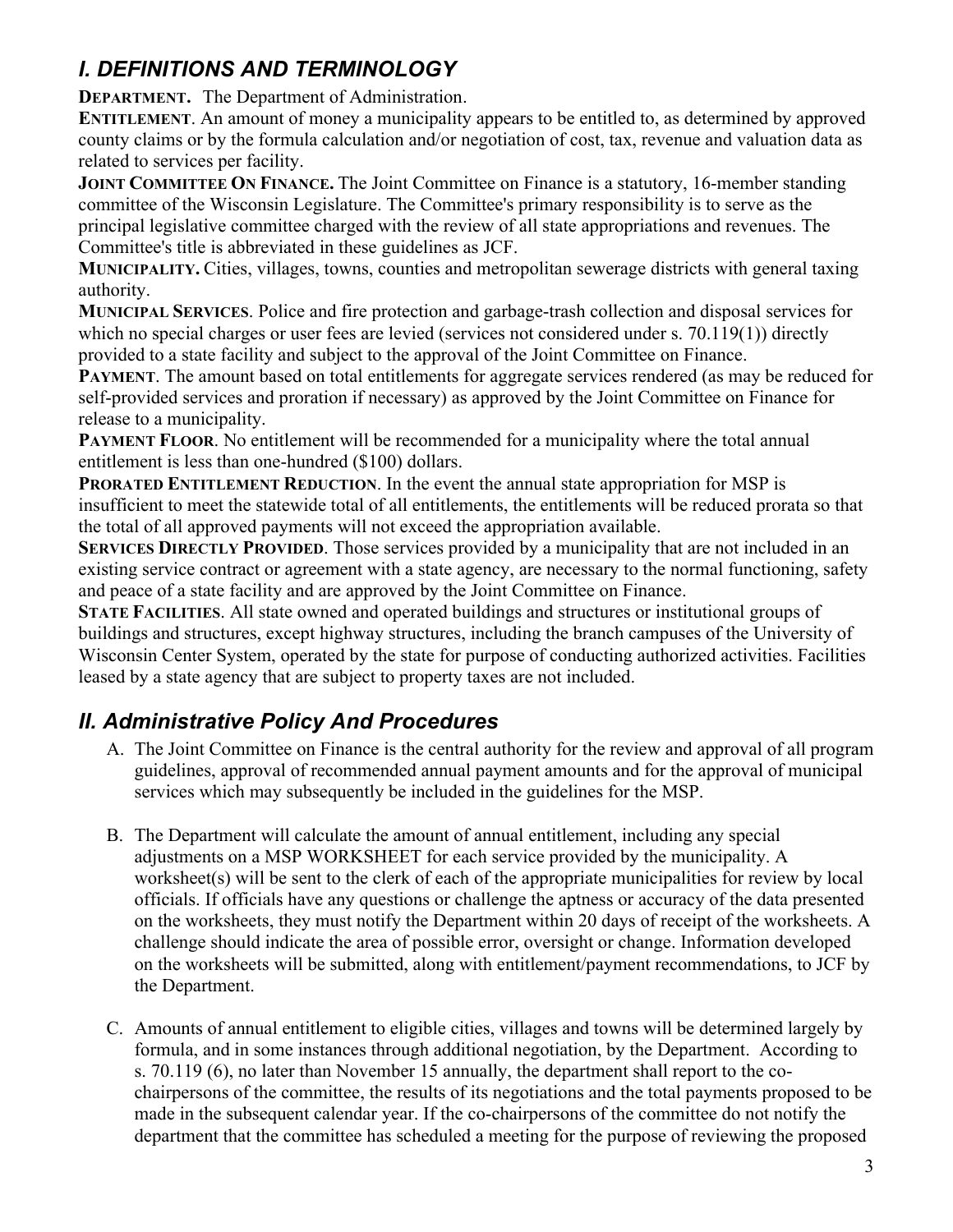# *I. DEFINITIONS AND TERMINOLOGY*

**DEPARTMENT.** The Department of Administration.

**ENTITLEMENT**. An amount of money a municipality appears to be entitled to, as determined by approved county claims or by the formula calculation and/or negotiation of cost, tax, revenue and valuation data as related to services per facility.

**JOINT COMMITTEE ON FINANCE.** The Joint Committee on Finance is a statutory, 16-member standing committee of the Wisconsin Legislature. The Committee's primary responsibility is to serve as the principal legislative committee charged with the review of all state appropriations and revenues. The Committee's title is abbreviated in these guidelines as JCF.

**MUNICIPALITY.** Cities, villages, towns, counties and metropolitan sewerage districts with general taxing authority.

**MUNICIPAL SERVICES**. Police and fire protection and garbage-trash collection and disposal services for which no special charges or user fees are levied (services not considered under s. 70.119(1)) directly provided to a state facility and subject to the approval of the Joint Committee on Finance.

**PAYMENT**. The amount based on total entitlements for aggregate services rendered (as may be reduced for self-provided services and proration if necessary) as approved by the Joint Committee on Finance for release to a municipality.

**PAYMENT FLOOR.** No entitlement will be recommended for a municipality where the total annual entitlement is less than one-hundred (\$100) dollars.

**PRORATED ENTITLEMENT REDUCTION**. In the event the annual state appropriation for MSP is insufficient to meet the statewide total of all entitlements, the entitlements will be reduced prorata so that the total of all approved payments will not exceed the appropriation available.

**SERVICES DIRECTLY PROVIDED.** Those services provided by a municipality that are not included in an existing service contract or agreement with a state agency, are necessary to the normal functioning, safety and peace of a state facility and are approved by the Joint Committee on Finance.

**STATE FACILITIES**. All state owned and operated buildings and structures or institutional groups of buildings and structures, except highway structures, including the branch campuses of the University of Wisconsin Center System, operated by the state for purpose of conducting authorized activities. Facilities leased by a state agency that are subject to property taxes are not included.

# *II. Administrative Policy And Procedures*

- A. The Joint Committee on Finance is the central authority for the review and approval of all program guidelines, approval of recommended annual payment amounts and for the approval of municipal services which may subsequently be included in the guidelines for the MSP.
- B. The Department will calculate the amount of annual entitlement, including any special adjustments on a MSP WORKSHEET for each service provided by the municipality. A worksheet(s) will be sent to the clerk of each of the appropriate municipalities for review by local officials. If officials have any questions or challenge the aptness or accuracy of the data presented on the worksheets, they must notify the Department within 20 days of receipt of the worksheets. A challenge should indicate the area of possible error, oversight or change. Information developed on the worksheets will be submitted, along with entitlement/payment recommendations, to JCF by the Department.
- C. Amounts of annual entitlement to eligible cities, villages and towns will be determined largely by formula, and in some instances through additional negotiation, by the Department. According to s. 70.119 (6), no later than November 15 annually, the department shall report to the cochairpersons of the committee, the results of its negotiations and the total payments proposed to be made in the subsequent calendar year. If the co-chairpersons of the committee do not notify the department that the committee has scheduled a meeting for the purpose of reviewing the proposed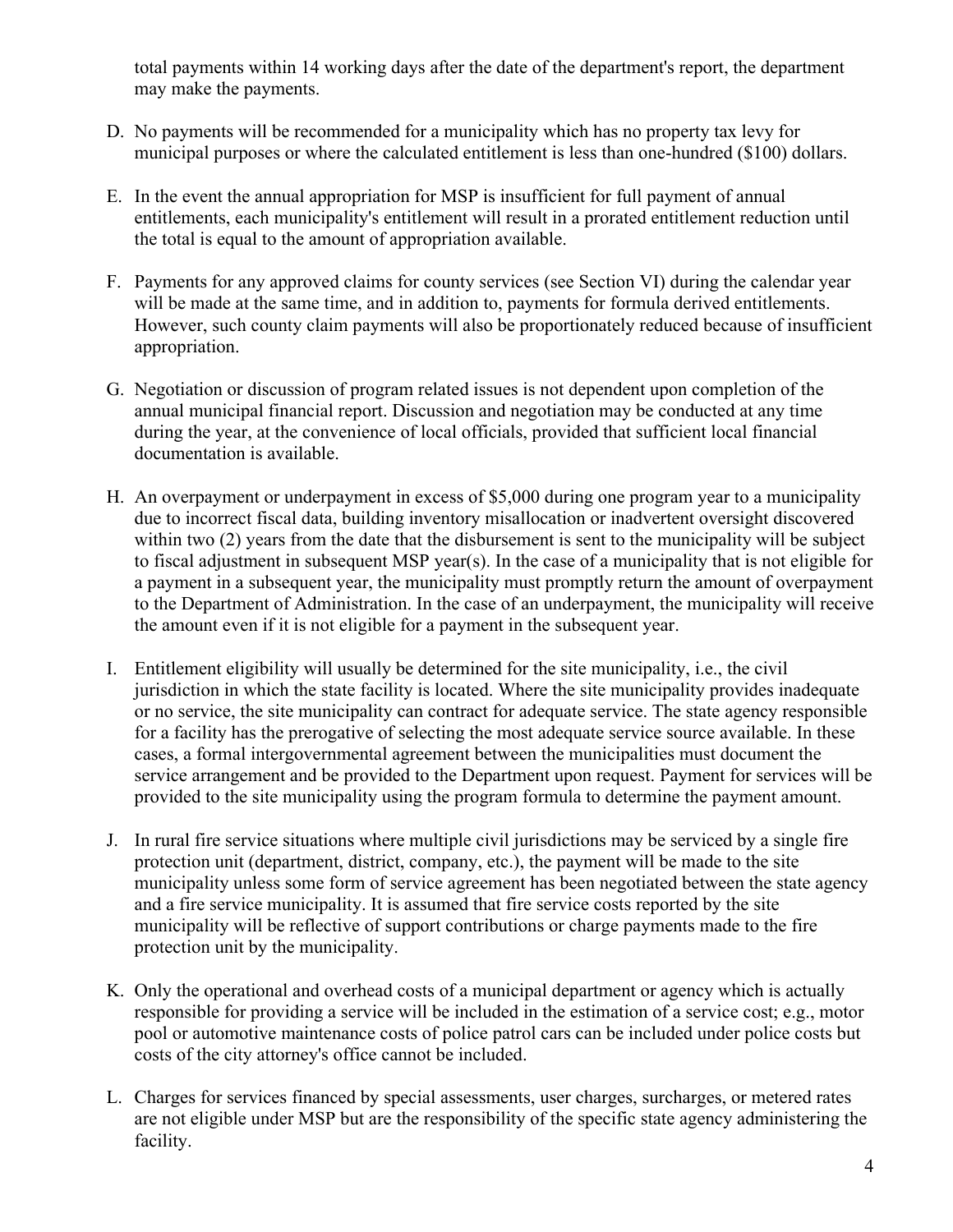total payments within 14 working days after the date of the department's report, the department may make the payments.

- D. No payments will be recommended for a municipality which has no property tax levy for municipal purposes or where the calculated entitlement is less than one-hundred (\$100) dollars.
- E. In the event the annual appropriation for MSP is insufficient for full payment of annual entitlements, each municipality's entitlement will result in a prorated entitlement reduction until the total is equal to the amount of appropriation available.
- F. Payments for any approved claims for county services (see Section VI) during the calendar year will be made at the same time, and in addition to, payments for formula derived entitlements. However, such county claim payments will also be proportionately reduced because of insufficient appropriation.
- G. Negotiation or discussion of program related issues is not dependent upon completion of the annual municipal financial report. Discussion and negotiation may be conducted at any time during the year, at the convenience of local officials, provided that sufficient local financial documentation is available.
- H. An overpayment or underpayment in excess of \$5,000 during one program year to a municipality due to incorrect fiscal data, building inventory misallocation or inadvertent oversight discovered within two (2) years from the date that the disbursement is sent to the municipality will be subject to fiscal adjustment in subsequent MSP year(s). In the case of a municipality that is not eligible for a payment in a subsequent year, the municipality must promptly return the amount of overpayment to the Department of Administration. In the case of an underpayment, the municipality will receive the amount even if it is not eligible for a payment in the subsequent year.
- I. Entitlement eligibility will usually be determined for the site municipality, i.e., the civil jurisdiction in which the state facility is located. Where the site municipality provides inadequate or no service, the site municipality can contract for adequate service. The state agency responsible for a facility has the prerogative of selecting the most adequate service source available. In these cases, a formal intergovernmental agreement between the municipalities must document the service arrangement and be provided to the Department upon request. Payment for services will be provided to the site municipality using the program formula to determine the payment amount.
- J. In rural fire service situations where multiple civil jurisdictions may be serviced by a single fire protection unit (department, district, company, etc.), the payment will be made to the site municipality unless some form of service agreement has been negotiated between the state agency and a fire service municipality. It is assumed that fire service costs reported by the site municipality will be reflective of support contributions or charge payments made to the fire protection unit by the municipality.
- K. Only the operational and overhead costs of a municipal department or agency which is actually responsible for providing a service will be included in the estimation of a service cost; e.g., motor pool or automotive maintenance costs of police patrol cars can be included under police costs but costs of the city attorney's office cannot be included.
- L. Charges for services financed by special assessments, user charges, surcharges, or metered rates are not eligible under MSP but are the responsibility of the specific state agency administering the facility.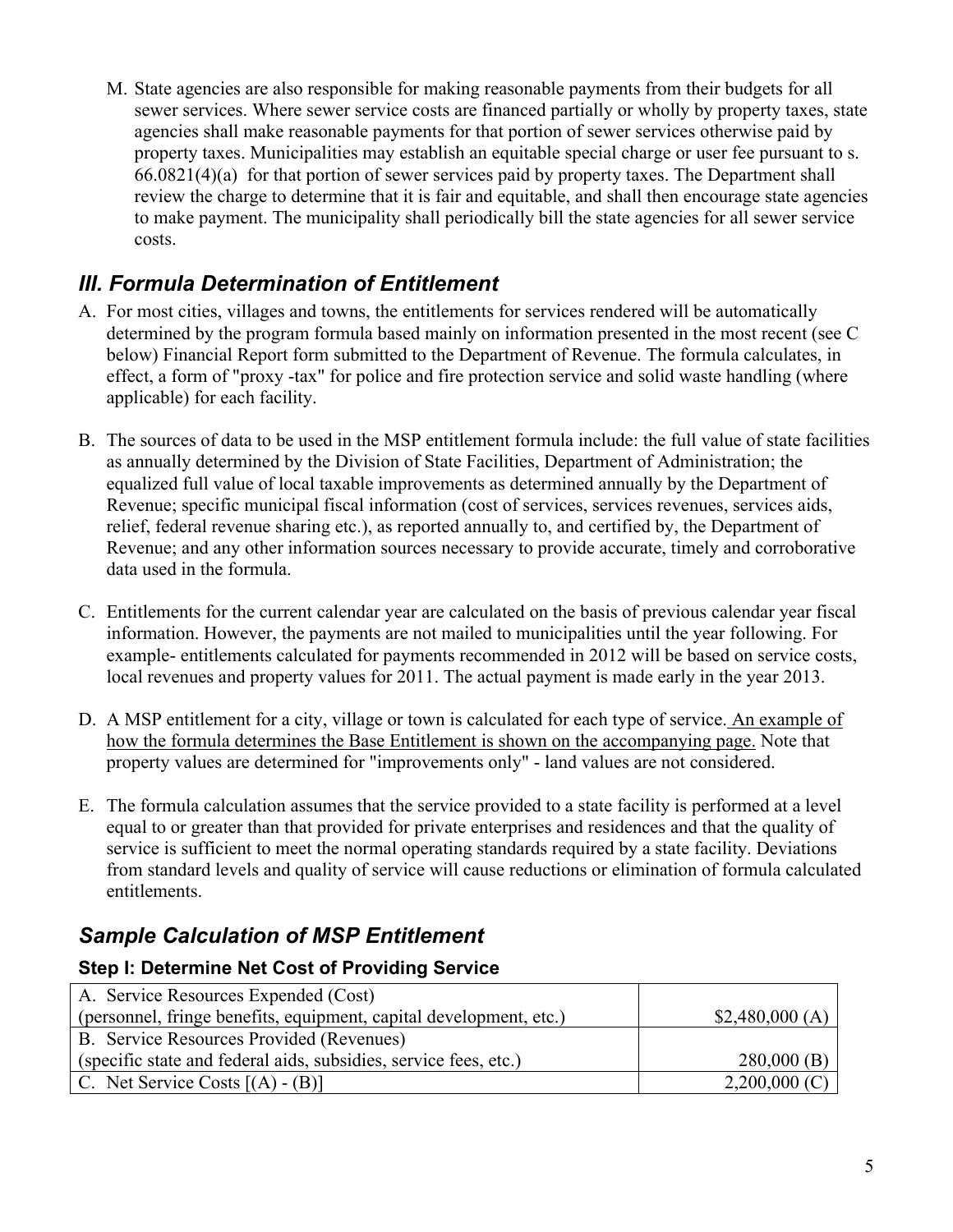M. State agencies are also responsible for making reasonable payments from their budgets for all sewer services. Where sewer service costs are financed partially or wholly by property taxes, state agencies shall make reasonable payments for that portion of sewer services otherwise paid by property taxes. Municipalities may establish an equitable special charge or user fee pursuant to s. 66.0821(4)(a) for that portion of sewer services paid by property taxes. The Department shall review the charge to determine that it is fair and equitable, and shall then encourage state agencies to make payment. The municipality shall periodically bill the state agencies for all sewer service costs.

# *III. Formula Determination of Entitlement*

- A. For most cities, villages and towns, the entitlements for services rendered will be automatically determined by the program formula based mainly on information presented in the most recent (see C below) Financial Report form submitted to the Department of Revenue. The formula calculates, in effect, a form of "proxy -tax" for police and fire protection service and solid waste handling (where applicable) for each facility.
- B. The sources of data to be used in the MSP entitlement formula include: the full value of state facilities as annually determined by the Division of State Facilities, Department of Administration; the equalized full value of local taxable improvements as determined annually by the Department of Revenue; specific municipal fiscal information (cost of services, services revenues, services aids, relief, federal revenue sharing etc.), as reported annually to, and certified by, the Department of Revenue; and any other information sources necessary to provide accurate, timely and corroborative data used in the formula.
- C. Entitlements for the current calendar year are calculated on the basis of previous calendar year fiscal information. However, the payments are not mailed to municipalities until the year following. For example- entitlements calculated for payments recommended in 2012 will be based on service costs, local revenues and property values for 2011. The actual payment is made early in the year 2013.
- D. A MSP entitlement for a city, village or town is calculated for each type of service. An example of how the formula determines the Base Entitlement is shown on the accompanying page. Note that property values are determined for "improvements only" - land values are not considered.
- E. The formula calculation assumes that the service provided to a state facility is performed at a level equal to or greater than that provided for private enterprises and residences and that the quality of service is sufficient to meet the normal operating standards required by a state facility. Deviations from standard levels and quality of service will cause reductions or elimination of formula calculated entitlements.

# *Sample Calculation of MSP Entitlement*

#### **Step I: Determine Net Cost of Providing Service**

| A. Service Resources Expended (Cost)                               |                 |
|--------------------------------------------------------------------|-----------------|
| (personnel, fringe benefits, equipment, capital development, etc.) | \$2,480,000(A)  |
| B. Service Resources Provided (Revenues)                           |                 |
| (specific state and federal aids, subsidies, service fees, etc.)   | $280,000$ (B)   |
| C. Net Service Costs $[(A) - (B)]$                                 | $2,200,000$ (C) |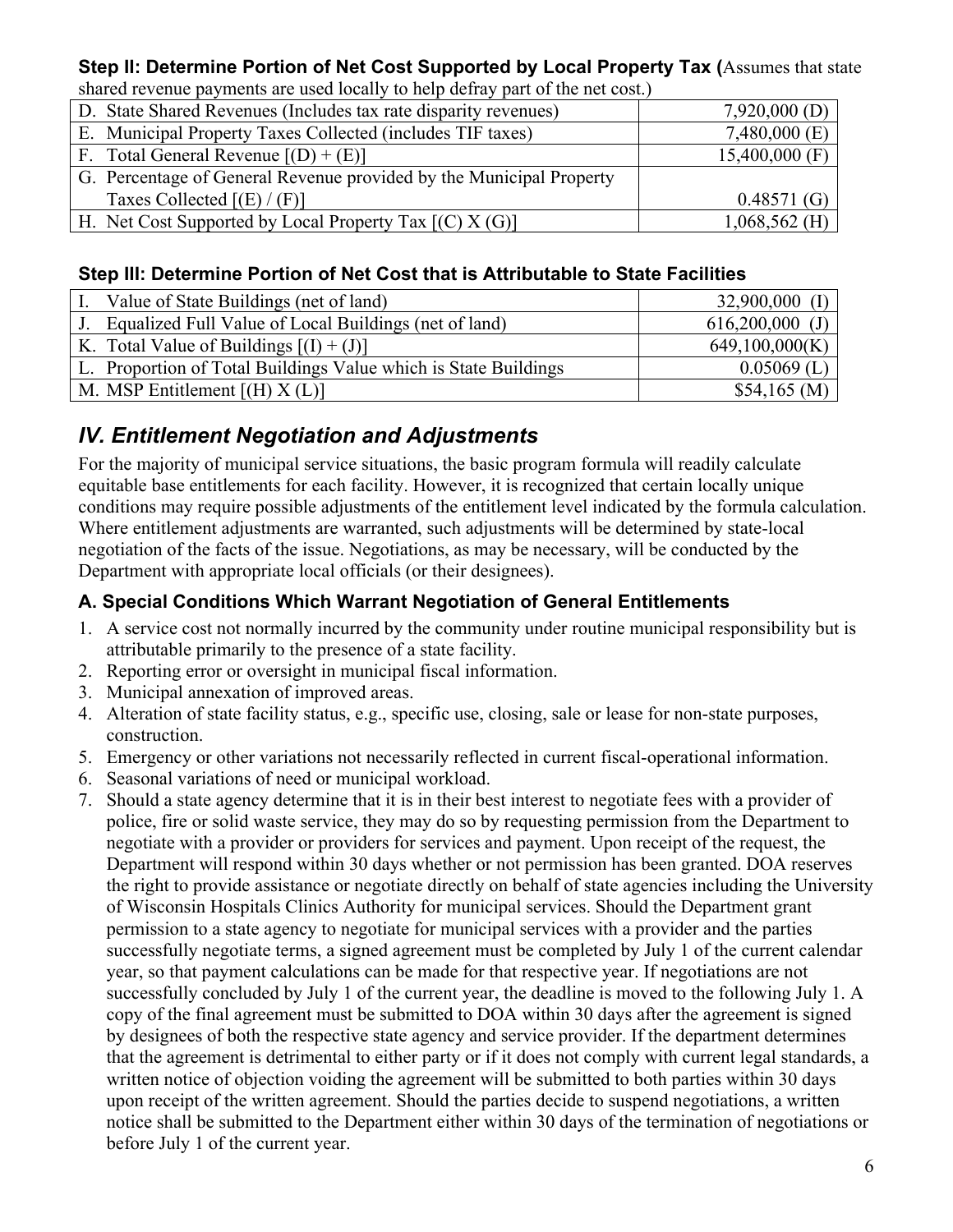#### **Step II: Determine Portion of Net Cost Supported by Local Property Tax (**Assumes that state shared revenue payments are used locally to help defray part of the net cost.)

| shared revenue payments are ased focally to help defiay part of the net cost. |                  |
|-------------------------------------------------------------------------------|------------------|
| D. State Shared Revenues (Includes tax rate disparity revenues)               | $7,920,000$ (D)  |
| E. Municipal Property Taxes Collected (includes TIF taxes)                    | $7,480,000$ (E)  |
| F. Total General Revenue $[(D) + (E)]$                                        | $15,400,000$ (F) |
| G. Percentage of General Revenue provided by the Municipal Property           |                  |
| Taxes Collected $[(E)/(F)]$                                                   | 0.48571(G)       |
| H. Net Cost Supported by Local Property Tax $[(C) X (G)]$                     | $1,068,562$ (H)  |

#### **Step III: Determine Portion of Net Cost that is Attributable to State Facilities**

| Value of State Buildings (net of land)                          | $32,900,000$ (I)  |
|-----------------------------------------------------------------|-------------------|
| J. Equalized Full Value of Local Buildings (net of land)        | $616,200,000$ (J) |
| K. Total Value of Buildings $[(I) + (J)]$                       | 649,100,000(K)    |
| L. Proportion of Total Buildings Value which is State Buildings | $0.05069$ (L)     |
| M. MSP Entitlement $[(H) X (L)]$                                | \$54,165(M)       |

## *IV. Entitlement Negotiation and Adjustments*

For the majority of municipal service situations, the basic program formula will readily calculate equitable base entitlements for each facility. However, it is recognized that certain locally unique conditions may require possible adjustments of the entitlement level indicated by the formula calculation. Where entitlement adjustments are warranted, such adjustments will be determined by state-local negotiation of the facts of the issue. Negotiations, as may be necessary, will be conducted by the Department with appropriate local officials (or their designees).

#### **A. Special Conditions Which Warrant Negotiation of General Entitlements**

- 1. A service cost not normally incurred by the community under routine municipal responsibility but is attributable primarily to the presence of a state facility.
- 2. Reporting error or oversight in municipal fiscal information.
- 3. Municipal annexation of improved areas.
- 4. Alteration of state facility status, e.g., specific use, closing, sale or lease for non-state purposes, construction.
- 5. Emergency or other variations not necessarily reflected in current fiscal-operational information.
- 6. Seasonal variations of need or municipal workload.
- 7. Should a state agency determine that it is in their best interest to negotiate fees with a provider of police, fire or solid waste service, they may do so by requesting permission from the Department to negotiate with a provider or providers for services and payment. Upon receipt of the request, the Department will respond within 30 days whether or not permission has been granted. DOA reserves the right to provide assistance or negotiate directly on behalf of state agencies including the University of Wisconsin Hospitals Clinics Authority for municipal services. Should the Department grant permission to a state agency to negotiate for municipal services with a provider and the parties successfully negotiate terms, a signed agreement must be completed by July 1 of the current calendar year, so that payment calculations can be made for that respective year. If negotiations are not successfully concluded by July 1 of the current year, the deadline is moved to the following July 1. A copy of the final agreement must be submitted to DOA within 30 days after the agreement is signed by designees of both the respective state agency and service provider. If the department determines that the agreement is detrimental to either party or if it does not comply with current legal standards, a written notice of objection voiding the agreement will be submitted to both parties within 30 days upon receipt of the written agreement. Should the parties decide to suspend negotiations, a written notice shall be submitted to the Department either within 30 days of the termination of negotiations or before July 1 of the current year.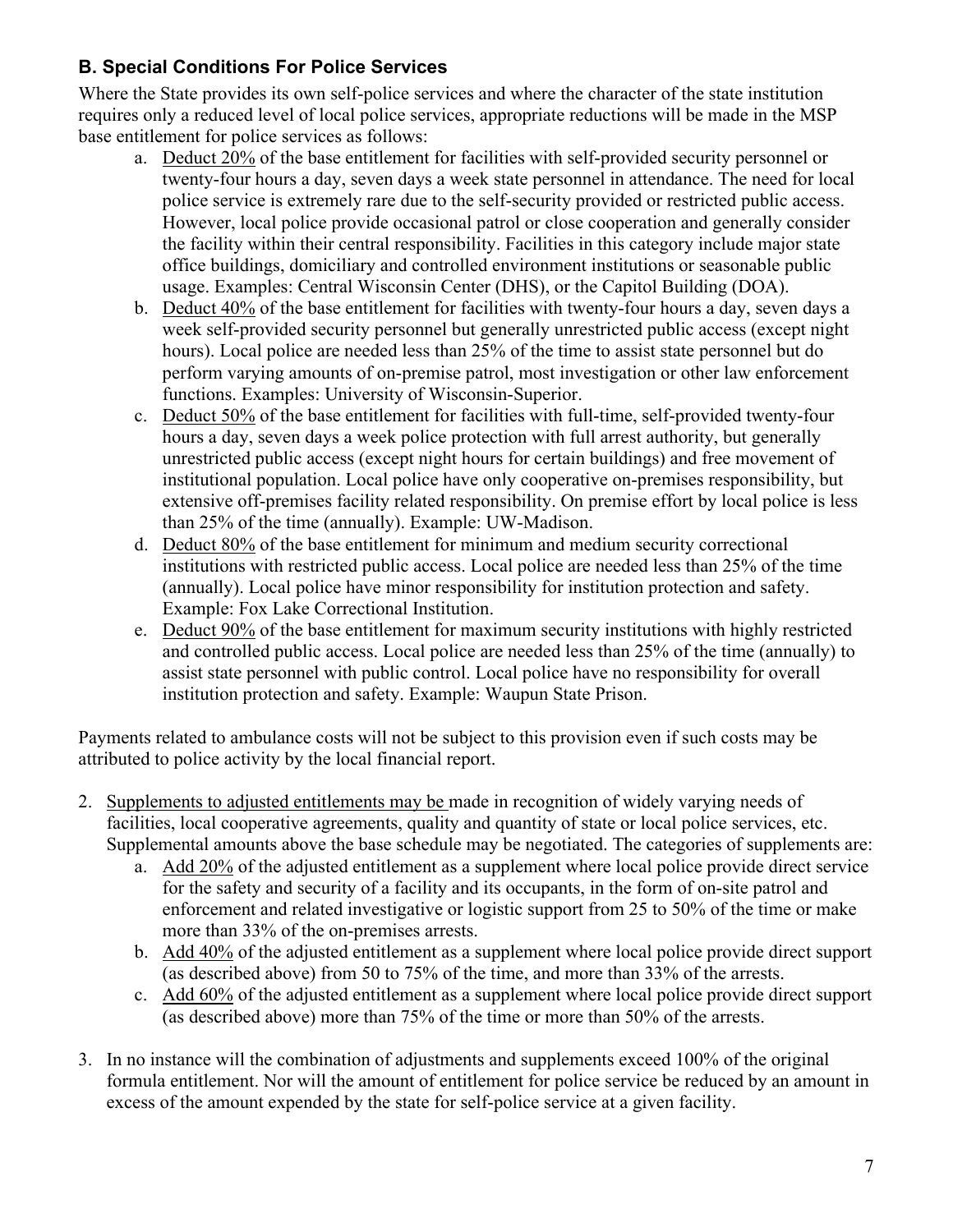### **B. Special Conditions For Police Services**

Where the State provides its own self-police services and where the character of the state institution requires only a reduced level of local police services, appropriate reductions will be made in the MSP base entitlement for police services as follows:

- a. Deduct 20% of the base entitlement for facilities with self-provided security personnel or twenty-four hours a day, seven days a week state personnel in attendance. The need for local police service is extremely rare due to the self-security provided or restricted public access. However, local police provide occasional patrol or close cooperation and generally consider the facility within their central responsibility. Facilities in this category include major state office buildings, domiciliary and controlled environment institutions or seasonable public usage. Examples: Central Wisconsin Center (DHS), or the Capitol Building (DOA).
- b. Deduct 40% of the base entitlement for facilities with twenty-four hours a day, seven days a week self-provided security personnel but generally unrestricted public access (except night hours). Local police are needed less than 25% of the time to assist state personnel but do perform varying amounts of on-premise patrol, most investigation or other law enforcement functions. Examples: University of Wisconsin-Superior.
- c. Deduct 50% of the base entitlement for facilities with full-time, self-provided twenty-four hours a day, seven days a week police protection with full arrest authority, but generally unrestricted public access (except night hours for certain buildings) and free movement of institutional population. Local police have only cooperative on-premises responsibility, but extensive off-premises facility related responsibility. On premise effort by local police is less than 25% of the time (annually). Example: UW-Madison.
- d. Deduct 80% of the base entitlement for minimum and medium security correctional institutions with restricted public access. Local police are needed less than 25% of the time (annually). Local police have minor responsibility for institution protection and safety. Example: Fox Lake Correctional Institution.
- e. Deduct 90% of the base entitlement for maximum security institutions with highly restricted and controlled public access. Local police are needed less than 25% of the time (annually) to assist state personnel with public control. Local police have no responsibility for overall institution protection and safety. Example: Waupun State Prison.

Payments related to ambulance costs will not be subject to this provision even if such costs may be attributed to police activity by the local financial report.

- 2. Supplements to adjusted entitlements may be made in recognition of widely varying needs of facilities, local cooperative agreements, quality and quantity of state or local police services, etc. Supplemental amounts above the base schedule may be negotiated. The categories of supplements are:
	- a. Add 20% of the adjusted entitlement as a supplement where local police provide direct service for the safety and security of a facility and its occupants, in the form of on-site patrol and enforcement and related investigative or logistic support from 25 to 50% of the time or make more than 33% of the on-premises arrests.
	- b. Add 40% of the adjusted entitlement as a supplement where local police provide direct support (as described above) from 50 to 75% of the time, and more than 33% of the arrests.
	- c. Add 60% of the adjusted entitlement as a supplement where local police provide direct support (as described above) more than 75% of the time or more than 50% of the arrests.
- 3. In no instance will the combination of adjustments and supplements exceed 100% of the original formula entitlement. Nor will the amount of entitlement for police service be reduced by an amount in excess of the amount expended by the state for self-police service at a given facility.